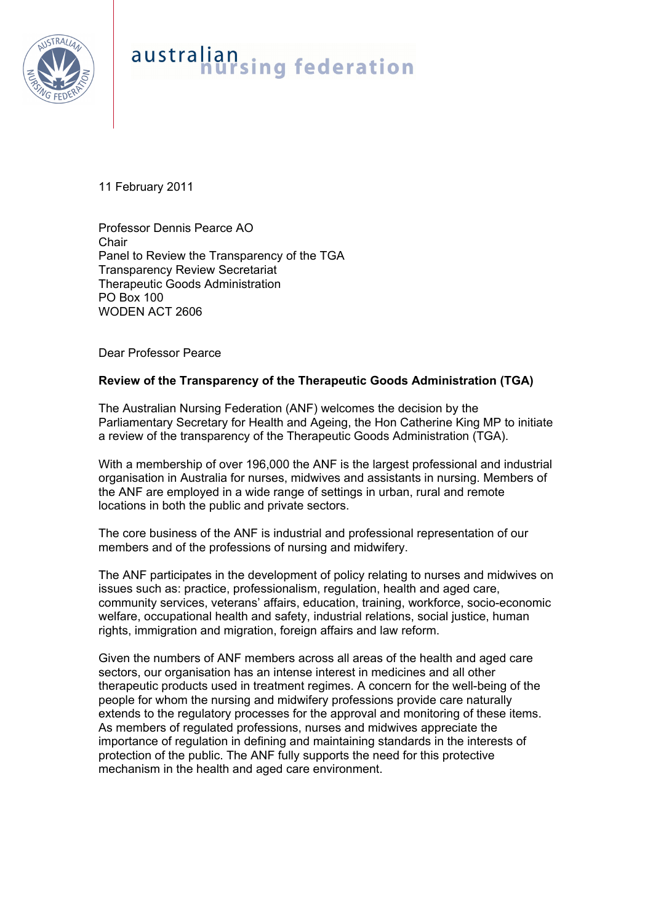

## australian<br>nursing federation

11 February 2011

Professor Dennis Pearce AO Chair Panel to Review the Transparency of the TGA Transparency Review Secretariat Therapeutic Goods Administration PO Box 100 WODEN ACT 2606

Dear Professor Pearce

## **Review of the Transparency of the Therapeutic Goods Administration (TGA)**

The Australian Nursing Federation (ANF) welcomes the decision by the Parliamentary Secretary for Health and Ageing, the Hon Catherine King MP to initiate a review of the transparency of the Therapeutic Goods Administration (TGA).

With a membership of over 196,000 the ANF is the largest professional and industrial organisation in Australia for nurses, midwives and assistants in nursing. Members of the ANF are employed in a wide range of settings in urban, rural and remote locations in both the public and private sectors.

The core business of the ANF is industrial and professional representation of our members and of the professions of nursing and midwifery.

The ANF participates in the development of policy relating to nurses and midwives on issues such as: practice, professionalism, regulation, health and aged care, community services, veterans' affairs, education, training, workforce, socio-economic welfare, occupational health and safety, industrial relations, social justice, human rights, immigration and migration, foreign affairs and law reform.

Given the numbers of ANF members across all areas of the health and aged care sectors, our organisation has an intense interest in medicines and all other therapeutic products used in treatment regimes. A concern for the well-being of the people for whom the nursing and midwifery professions provide care naturally extends to the regulatory processes for the approval and monitoring of these items. As members of regulated professions, nurses and midwives appreciate the importance of regulation in defining and maintaining standards in the interests of protection of the public. The ANF fully supports the need for this protective mechanism in the health and aged care environment.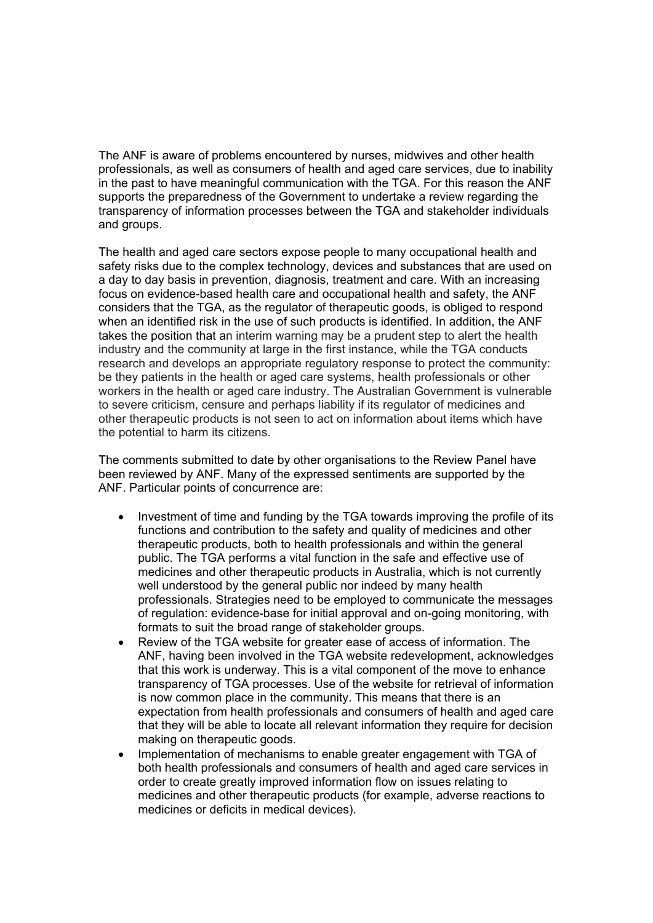The ANF is aware of problems encountered by nurses, midwives and other health professionals, as well as consumers of health and aged care services, due to inability in the past to have meaningful communication with the TGA. For this reason the ANF supports the preparedness of the Government to undertake a review regarding the transparency of information processes between the TGA and stakeholder individuals and groups.

The health and aged care sectors expose people to many occupational health and safety risks due to the complex technology, devices and substances that are used on a day to day basis in prevention, diagnosis, treatment and care. With an increasing focus on evidence-based health care and occupational health and safety, the ANF considers that the TGA, as the regulator of therapeutic goods, is obliged to respond when an identified risk in the use of such products is identified. In addition, the ANF takes the position that an interim warning may be a prudent step to alert the health industry and the community at large in the first instance, while the TGA conducts research and develops an appropriate regulatory response to protect the community: be they patients in the health or aged care systems, health professionals or other workers in the health or aged care industry. The Australian Government is vulnerable to severe criticism, censure and perhaps liability if its regulator of medicines and other therapeutic products is not seen to act on information about items which have the potential to harm its citizens.

The comments submitted to date by other organisations to the Review Panel have been reviewed by ANF. Many of the expressed sentiments are supported by the ANF. Particular points of concurrence are:

- Investment of time and funding by the TGA towards improving the profile of its functions and contribution to the safety and quality of medicines and other therapeutic products, both to health professionals and within the general public. The TGA performs a vital function in the safe and effective use of medicines and other therapeutic products in Australia, which is not currently well understood by the general public nor indeed by many health professionals. Strategies need to be employed to communicate the messages of regulation: evidence-base for initial approval and on-going monitoring, with formats to suit the broad range of stakeholder groups.
- Review of the TGA website for greater ease of access of information. The ANF, having been involved in the TGA website redevelopment, acknowledges that this work is underway. This is a vital component of the move to enhance transparency of TGA processes. Use of the website for retrieval of information is now common place in the community. This means that there is an expectation from health professionals and consumers of health and aged care that they will be able to locate all relevant information they require for decision making on therapeutic goods.
- Implementation of mechanisms to enable greater engagement with TGA of both health professionals and consumers of health and aged care services in order to create greatly improved information flow on issues relating to medicines and other therapeutic products (for example, adverse reactions to medicines or deficits in medical devices).